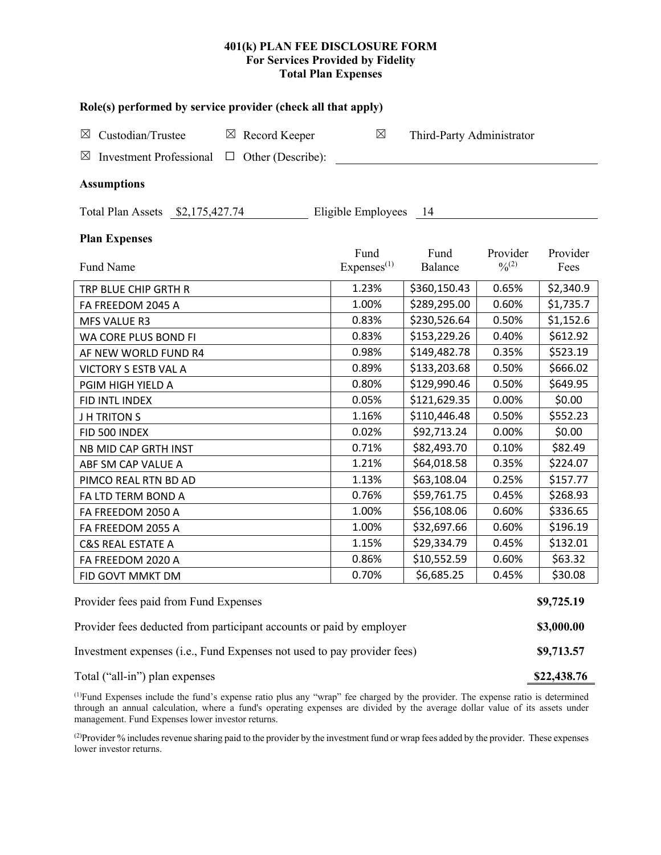## **401(k) PLAN FEE DISCLOSURE FORM For Services Provided by Fidelity Total Plan Expenses**

| Role(s) performed by service provider (check all that apply)            |                        |                           |             |            |  |  |  |  |  |
|-------------------------------------------------------------------------|------------------------|---------------------------|-------------|------------|--|--|--|--|--|
| $\boxtimes$ Custodian/Trustee<br>$\boxtimes$ Record Keeper              | $\boxtimes$            | Third-Party Administrator |             |            |  |  |  |  |  |
| $\boxtimes$ Investment Professional $\Box$ Other (Describe):            |                        |                           |             |            |  |  |  |  |  |
|                                                                         |                        |                           |             |            |  |  |  |  |  |
| <b>Assumptions</b>                                                      |                        |                           |             |            |  |  |  |  |  |
| Total Plan Assets \$2,175,427.74<br>Eligible Employees 14               |                        |                           |             |            |  |  |  |  |  |
| <b>Plan Expenses</b>                                                    |                        |                           |             |            |  |  |  |  |  |
|                                                                         | Fund                   | Fund                      | Provider    | Provider   |  |  |  |  |  |
| Fund Name                                                               | Express <sup>(1)</sup> | Balance                   | $0/0^{(2)}$ | Fees       |  |  |  |  |  |
| TRP BLUE CHIP GRTH R                                                    | 1.23%                  | \$360,150.43              | 0.65%       | \$2,340.9  |  |  |  |  |  |
| FA FREEDOM 2045 A                                                       | 1.00%                  | \$289,295.00              | 0.60%       | \$1,735.7  |  |  |  |  |  |
| MFS VALUE R3                                                            | 0.83%                  | \$230,526.64              | 0.50%       | \$1,152.6  |  |  |  |  |  |
| WA CORE PLUS BOND FI                                                    | 0.83%                  | \$153,229.26              | 0.40%       | \$612.92   |  |  |  |  |  |
| AF NEW WORLD FUND R4                                                    | 0.98%                  | \$149,482.78              | 0.35%       | \$523.19   |  |  |  |  |  |
| VICTORY S ESTB VAL A                                                    | 0.89%                  | \$133,203.68              | 0.50%       | \$666.02   |  |  |  |  |  |
| PGIM HIGH YIELD A                                                       | 0.80%                  | \$129,990.46              | 0.50%       | \$649.95   |  |  |  |  |  |
| FID INTL INDEX                                                          | 0.05%                  | \$121,629.35              | 0.00%       | \$0.00     |  |  |  |  |  |
| <b>JH TRITONS</b>                                                       | 1.16%                  | \$110,446.48              | 0.50%       | \$552.23   |  |  |  |  |  |
| FID 500 INDEX                                                           | 0.02%                  | \$92,713.24               | 0.00%       | \$0.00     |  |  |  |  |  |
| NB MID CAP GRTH INST                                                    | 0.71%                  | \$82,493.70               | 0.10%       | \$82.49    |  |  |  |  |  |
| ABF SM CAP VALUE A                                                      | 1.21%                  | \$64,018.58               | 0.35%       | \$224.07   |  |  |  |  |  |
| PIMCO REAL RTN BD AD                                                    | 1.13%                  | \$63,108.04               | 0.25%       | \$157.77   |  |  |  |  |  |
| FA LTD TERM BOND A                                                      | 0.76%                  | \$59,761.75               | 0.45%       | \$268.93   |  |  |  |  |  |
| FA FREEDOM 2050 A                                                       | 1.00%                  | \$56,108.06               | 0.60%       | \$336.65   |  |  |  |  |  |
| FA FREEDOM 2055 A                                                       | 1.00%                  | \$32,697.66               | 0.60%       | \$196.19   |  |  |  |  |  |
| <b>C&amp;S REAL ESTATE A</b>                                            | 1.15%                  | \$29,334.79               | 0.45%       | \$132.01   |  |  |  |  |  |
| FA FREEDOM 2020 A                                                       | 0.86%                  | \$10,552.59               | 0.60%       | \$63.32    |  |  |  |  |  |
| FID GOVT MMKT DM                                                        | 0.70%                  | \$6,685.25                | 0.45%       | \$30.08    |  |  |  |  |  |
| Provider fees paid from Fund Expenses                                   |                        |                           |             | \$9,725.19 |  |  |  |  |  |
| Provider fees deducted from participant accounts or paid by employer    |                        |                           |             |            |  |  |  |  |  |
| Investment expenses (i.e., Fund Expenses not used to pay provider fees) |                        |                           |             |            |  |  |  |  |  |

Total ("all-in") plan expenses **\$22,438.76**

(1) Fund Expenses include the fund's expense ratio plus any "wrap" fee charged by the provider. The expense ratio is determined through an annual calculation, where a fund's operating expenses are divided by the average dollar value of its assets under management. Fund Expenses lower investor returns.

(2) Provider % includes revenue sharing paid to the provider by the investment fund or wrap fees added by the provider. These expenses lower investor returns.